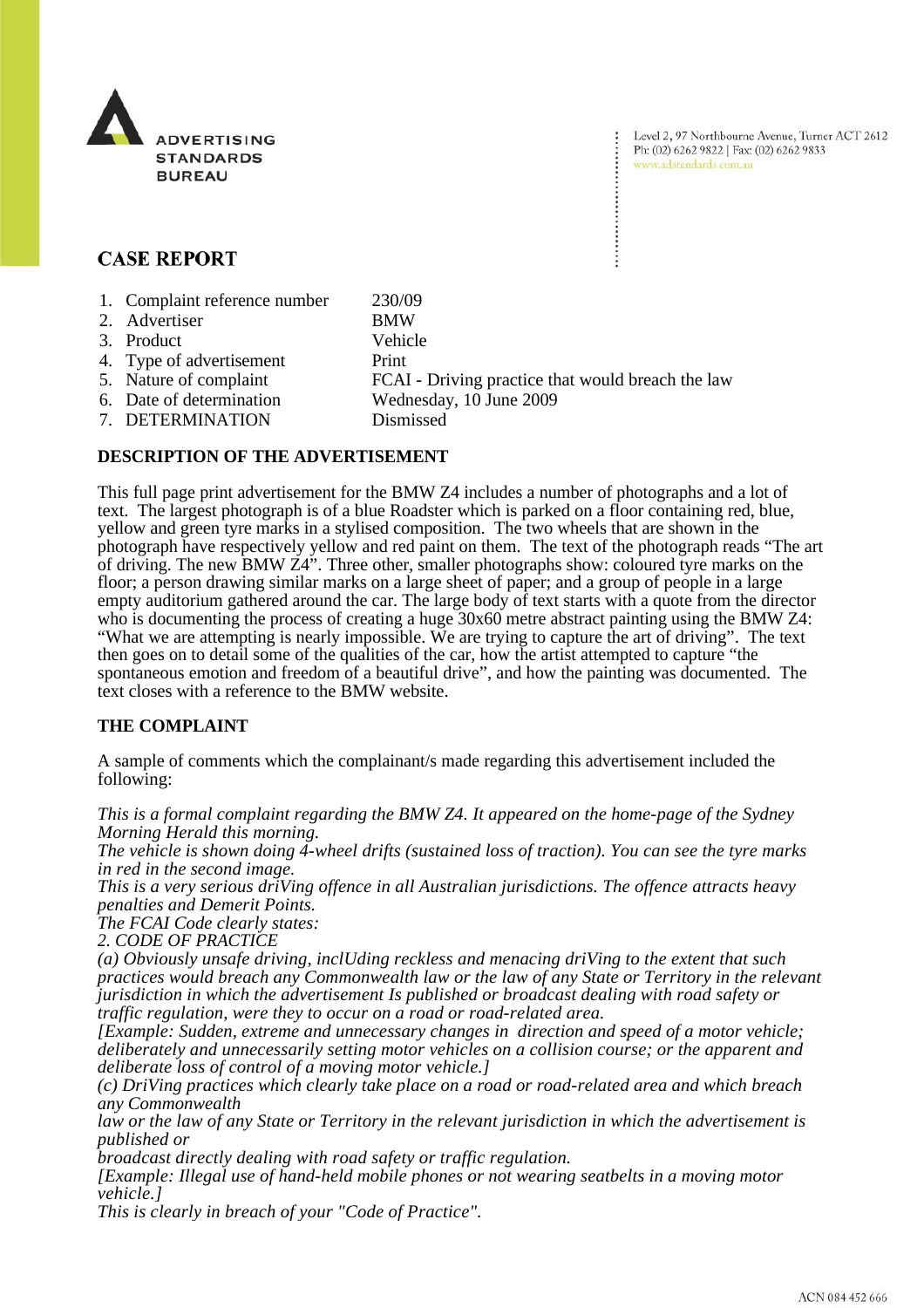

# **CASE REPORT**

- 1. Complaint reference number 230/09
- 2. Advertiser BMW
- 3. Product Vehicle
- 4. Type of advertisement Print
- 
- 5. Nature of complaint FCAI Driving practice that would breach the law 6. Date of determination Wednesday, 10 June 2009
- 
- 7. DETERMINATION Dismissed

### **DESCRIPTION OF THE ADVERTISEMENT**

This full page print advertisement for the BMW Z4 includes a number of photographs and a lot of text. The largest photograph is of a blue Roadster which is parked on a floor containing red, blue, yellow and green tyre marks in a stylised composition. The two wheels that are shown in the photograph have respectively yellow and red paint on them. The text of the photograph reads "The art of driving. The new BMW  $\mathbb{Z}4^{\mathbf{N}}$ . Three other, smaller photographs show: coloured tyre marks on the floor; a person drawing similar marks on a large sheet of paper; and a group of people in a large empty auditorium gathered around the car. The large body of text starts with a quote from the director who is documenting the process of creating a huge  $30x60$  metre abstract painting using the BMW Z4: "What we are attempting is nearly impossible. We are trying to capture the art of driving". The text then goes on to detail some of the qualities of the car, how the artist attempted to capture "the spontaneous emotion and freedom of a beautiful drive", and how the painting was documented. The text closes with a reference to the BMW website.

# **THE COMPLAINT**

A sample of comments which the complainant/s made regarding this advertisement included the following:

*This is a formal complaint regarding the BMW Z4. It appeared on the home-page of the Sydney Morning Herald this morning.*

*The vehicle is shown doing 4-wheel drifts (sustained loss of traction). You can see the tyre marks in red in the second image.*

*This is a very serious driVing offence in all Australian jurisdictions. The offence attracts heavy penalties and Demerit Points.*

*The FCAI Code clearly states:*

*2. CODE OF PRACTICE*

*(a) Obviously unsafe driving, inclUding reckless and menacing driVing to the extent that such practices would breach any Commonwealth law or the law of any State or Territory in the relevant jurisdiction in which the advertisement Is published or broadcast dealing with road safety or traffic regulation, were they to occur on a road or road-related area.*

*[Example: Sudden, extreme and unnecessary changes in direction and speed of a motor vehicle; deliberately and unnecessarily setting motor vehicles on a collision course; or the apparent and deliberate loss of control of a moving motor vehicle.]*

*(c) DriVing practices which clearly take place on a road or road-related area and which breach any Commonwealth*

*law or the law of any State or Territory in the relevant jurisdiction in which the advertisement is published or*

*broadcast directly dealing with road safety or traffic regulation.*

*[Example: Illegal use of hand-held mobile phones or not wearing seatbelts in a moving motor vehicle.]*

*This is clearly in breach of your "Code of Practice".*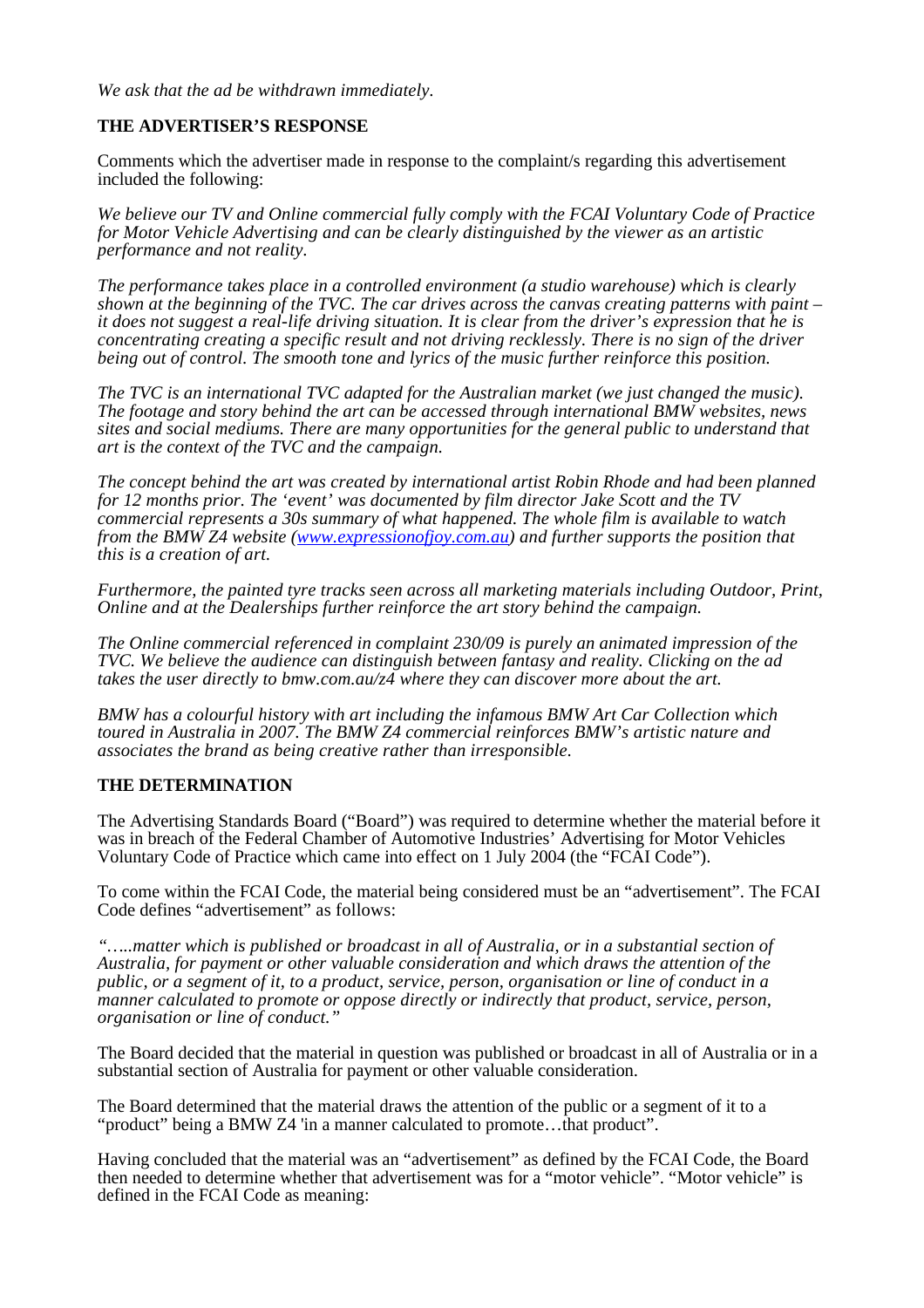*We ask that the ad be withdrawn immediately.*

## **THE ADVERTISER'S RESPONSE**

Comments which the advertiser made in response to the complaint/s regarding this advertisement included the following:

*We believe our TV and Online commercial fully comply with the FCAI Voluntary Code of Practice for Motor Vehicle Advertising and can be clearly distinguished by the viewer as an artistic performance and not reality.* 

*The performance takes place in a controlled environment (a studio warehouse) which is clearly shown at the beginning of the TVC. The car drives across the canvas creating patterns with paint – it does not suggest a real-life driving situation. It is clear from the driver's expression that he is concentrating creating a specific result and not driving recklessly. There is no sign of the driver being out of control. The smooth tone and lyrics of the music further reinforce this position.* 

*The TVC is an international TVC adapted for the Australian market (we just changed the music). The footage and story behind the art can be accessed through international BMW websites, news sites and social mediums. There are many opportunities for the general public to understand that art is the context of the TVC and the campaign.* 

*The concept behind the art was created by international artist Robin Rhode and had been planned for 12 months prior. The 'event' was documented by film director Jake Scott and the TV commercial represents a 30s summary of what happened. The whole film is available to watch from the BMW Z4 website (www.expressionofjoy.com.au) and further supports the position that this is a creation of art.* 

*Furthermore, the painted tyre tracks seen across all marketing materials including Outdoor, Print, Online and at the Dealerships further reinforce the art story behind the campaign.* 

*The Online commercial referenced in complaint 230/09 is purely an animated impression of the TVC. We believe the audience can distinguish between fantasy and reality. Clicking on the ad takes the user directly to bmw.com.au/z4 where they can discover more about the art.* 

*BMW has a colourful history with art including the infamous BMW Art Car Collection which toured in Australia in 2007. The BMW Z4 commercial reinforces BMW's artistic nature and associates the brand as being creative rather than irresponsible.* 

#### **THE DETERMINATION**

The Advertising Standards Board ("Board") was required to determine whether the material before it was in breach of the Federal Chamber of Automotive Industries' Advertising for Motor Vehicles Voluntary Code of Practice which came into effect on 1 July 2004 (the "FCAI Code").

To come within the FCAI Code, the material being considered must be an "advertisement". The FCAI Code defines "advertisement" as follows:

*"…..matter which is published or broadcast in all of Australia, or in a substantial section of Australia, for payment or other valuable consideration and which draws the attention of the public, or a segment of it, to a product, service, person, organisation or line of conduct in a manner calculated to promote or oppose directly or indirectly that product, service, person, organisation or line of conduct."*

The Board decided that the material in question was published or broadcast in all of Australia or in a substantial section of Australia for payment or other valuable consideration.

The Board determined that the material draws the attention of the public or a segment of it to a "product" being a BMW Z4 'in a manner calculated to promote...that product".

Having concluded that the material was an "advertisement" as defined by the FCAI Code, the Board then needed to determine whether that advertisement was for a "motor vehicle". "Motor vehicle" is defined in the FCAI Code as meaning: